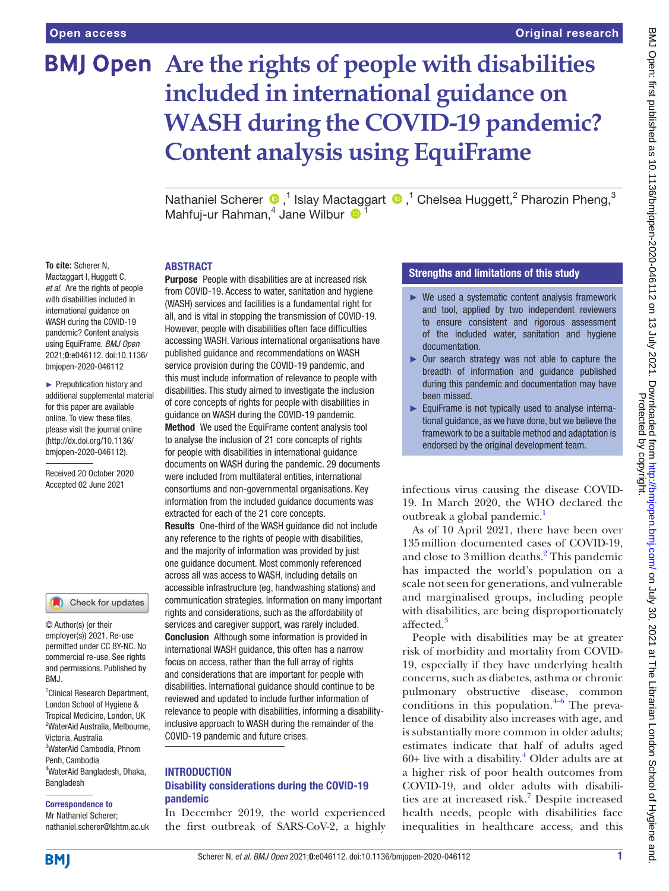# **BMJ Open** Are the rights of people with disabilities **included in international guidance on WASH during the COVID-19 pandemic? Content analysis using EquiFrame**

NathanielScherer  $\bigcirc$ ,<sup>1</sup> Islay Mactaggart  $\bigcirc$ ,<sup>1</sup> Chelsea Huggett,<sup>2</sup> Pharozin Pheng,<sup>3</sup> Mahfuj-ur Rahman,<sup>4</sup> Jane Wilbur <sup>1</sup>

#### **To cite:** Scherer N,

Mactaggart I, Huggett C, *et al*. Are the rights of people with disabilities included in international guidance on WASH during the COVID-19 pandemic? Content analysis using EquiFrame. *BMJ Open* 2021;0:e046112. doi:10.1136/ bmjopen-2020-046112

► Prepublication history and additional supplemental material for this paper are available online. To view these files, please visit the journal online (http://dx.doi.org/10.1136/ bmjopen-2020-046112).

Received 20 October 2020 Accepted 02 June 2021

#### Check for updates

© Author(s) (or their employer(s)) 2021. Re-use permitted under CC BY-NC. No commercial re-use. See rights and permissions. Published by BMJ.

1 Clinical Research Department, London School of Hygiene & Tropical Medicine, London, UK 2 WaterAid Australia, Melbourne, Victoria, Australia 3 WaterAid Cambodia, Phnom Penh, Cambodia 4 WaterAid Bangladesh, Dhaka, Bangladesh

#### Correspondence to

Mr Nathaniel Scherer; nathaniel.scherer@lshtm.ac.uk

#### **ABSTRACT**

Purpose People with disabilities are at increased risk from COVID-19. Access to water, sanitation and hygiene (WASH) services and facilities is a fundamental right for all, and is vital in stopping the transmission of COVID-19. However, people with disabilities often face difficulties accessing WASH. Various international organisations have published guidance and recommendations on WASH service provision during the COVID-19 pandemic, and this must include information of relevance to people with disabilities. This study aimed to investigate the inclusion of core concepts of rights for people with disabilities in guidance on WASH during the COVID-19 pandemic. Method We used the EquiFrame content analysis tool to analyse the inclusion of 21 core concepts of rights for people with disabilities in international guidance documents on WASH during the pandemic. 29 documents were included from multilateral entities, international consortiums and non-governmental organisations. Key information from the included guidance documents was extracted for each of the 21 core concepts.

Results One-third of the WASH guidance did not include any reference to the rights of people with disabilities, and the majority of information was provided by just one guidance document. Most commonly referenced across all was access to WASH, including details on accessible infrastructure (eg, handwashing stations) and communication strategies. Information on many important rights and considerations, such as the affordability of services and caregiver support, was rarely included. Conclusion Although some information is provided in international WASH guidance, this often has a narrow focus on access, rather than the full array of rights and considerations that are important for people with disabilities. International guidance should continue to be reviewed and updated to include further information of relevance to people with disabilities, informing a disabilityinclusive approach to WASH during the remainder of the COVID-19 pandemic and future crises.

#### **INTRODUCTION**

# Disability considerations during the COVID-19 pandemic

In December 2019, the world experienced the first outbreak of SARS-CoV-2, a highly

# Strengths and limitations of this study

- ► We used a systematic content analysis framework and tool, applied by two independent reviewers to ensure consistent and rigorous assessment of the included water, sanitation and hygiene documentation.
- ► Our search strategy was not able to capture the breadth of information and guidance published during this pandemic and documentation may have been missed.
- ► EquiFrame is not typically used to analyse international guidance, as we have done, but we believe the framework to be a suitable method and adaptation is endorsed by the original development team.

infectious virus causing the disease COVID-19. In March 2020, the WHO declared the outbreak a global pandemic.<sup>[1](#page-8-0)</sup>

As of 10 April 2021, there have been over 135million documented cases of COVID-19, and close to 3 million deaths.<sup>[2](#page-8-1)</sup> This pandemic has impacted the world's population on a scale not seen for generations, and vulnerable and marginalised groups, including people with disabilities, are being disproportionately affected.<sup>[3](#page-8-2)</sup>

People with disabilities may be at greater risk of morbidity and mortality from COVID-19, especially if they have underlying health concerns, such as diabetes, asthma or chronic pulmonary obstructive disease, common conditions in this population. $4-6$  The prevalence of disability also increases with age, and is substantially more common in older adults; estimates indicate that half of adults aged  $60+$  live with a disability.<sup>[4](#page-8-3)</sup> Older adults are at a higher risk of poor health outcomes from COVID-19, and older adults with disabilities are at increased risk.<sup>7</sup> Despite increased health needs, people with disabilities face inequalities in healthcare access, and this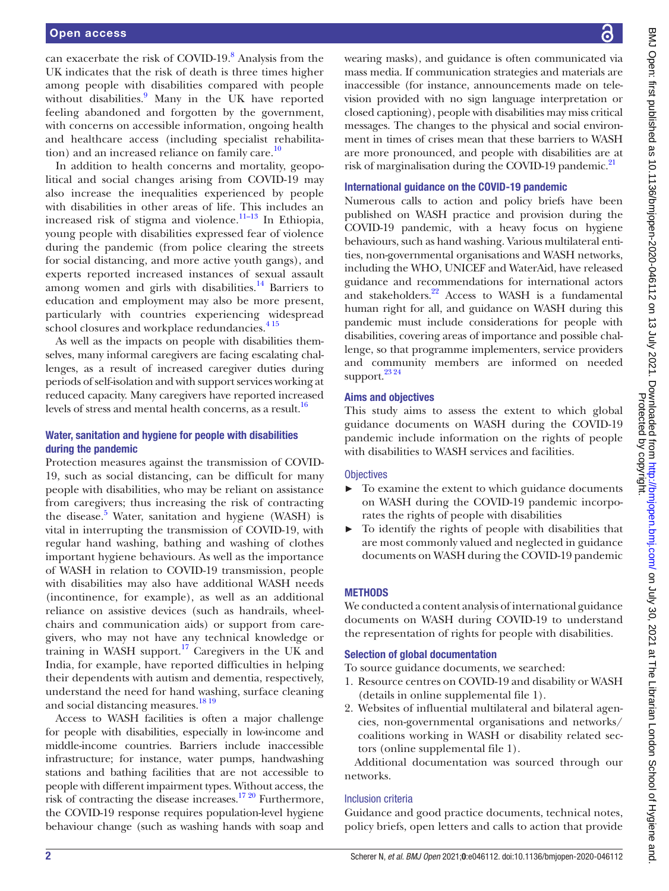can exacerbate the risk of COVID-19.<sup>[8](#page-8-5)</sup> Analysis from the UK indicates that the risk of death is three times higher among people with disabilities compared with people without disabilities.<sup>[9](#page-8-6)</sup> Many in the UK have reported feeling abandoned and forgotten by the government, with concerns on accessible information, ongoing health and healthcare access (including specialist rehabilitation) and an increased reliance on family care. $10$ 

In addition to health concerns and mortality, geopolitical and social changes arising from COVID-19 may also increase the inequalities experienced by people with disabilities in other areas of life. This includes an increased risk of stigma and violence.<sup>11-13</sup> In Ethiopia, young people with disabilities expressed fear of violence during the pandemic (from police clearing the streets for social distancing, and more active youth gangs), and experts reported increased instances of sexual assault among women and girls with disabilities. $14$  Barriers to education and employment may also be more present, particularly with countries experiencing widespread school closures and workplace redundancies.<sup>415</sup>

As well as the impacts on people with disabilities themselves, many informal caregivers are facing escalating challenges, as a result of increased caregiver duties during periods of self-isolation and with support services working at reduced capacity. Many caregivers have reported increased levels of stress and mental health concerns, as a result.<sup>[16](#page-8-10)</sup>

# Water, sanitation and hygiene for people with disabilities during the pandemic

Protection measures against the transmission of COVID-19, such as social distancing, can be difficult for many people with disabilities, who may be reliant on assistance from caregivers; thus increasing the risk of contracting the disease.<sup>[5](#page-8-11)</sup> Water, sanitation and hygiene (WASH) is vital in interrupting the transmission of COVID-19, with regular hand washing, bathing and washing of clothes important hygiene behaviours. As well as the importance of WASH in relation to COVID-19 transmission, people with disabilities may also have additional WASH needs (incontinence, for example), as well as an additional reliance on assistive devices (such as handrails, wheelchairs and communication aids) or support from caregivers, who may not have any technical knowledge or training in WASH support.[17](#page-8-12) Caregivers in the UK and India, for example, have reported difficulties in helping their dependents with autism and dementia, respectively, understand the need for hand washing, surface cleaning and social distancing measures.<sup>[18 19](#page-8-13)</sup>

Access to WASH facilities is often a major challenge for people with disabilities, especially in low-income and middle-income countries. Barriers include inaccessible infrastructure; for instance, water pumps, handwashing stations and bathing facilities that are not accessible to people with different impairment types. Without access, the risk of contracting the disease increases.<sup>17 20</sup> Furthermore, the COVID-19 response requires population-level hygiene behaviour change (such as washing hands with soap and

wearing masks), and guidance is often communicated via mass media. If communication strategies and materials are inaccessible (for instance, announcements made on television provided with no sign language interpretation or closed captioning), people with disabilities may miss critical messages. The changes to the physical and social environment in times of crises mean that these barriers to WASH are more pronounced, and people with disabilities are at risk of marginalisation during the COVID-19 pandemic. $^{21}$  $^{21}$  $^{21}$ 

## International guidance on the COVID-19 pandemic

Numerous calls to action and policy briefs have been published on WASH practice and provision during the COVID-19 pandemic, with a heavy focus on hygiene behaviours, such as hand washing. Various multilateral entities, non-governmental organisations and WASH networks, including the WHO, UNICEF and WaterAid, have released guidance and recommendations for international actors and stakeholders.<sup>22</sup> Access to WASH is a fundamental human right for all, and guidance on WASH during this pandemic must include considerations for people with disabilities, covering areas of importance and possible challenge, so that programme implementers, service providers and community members are informed on needed support. $^{23,24}$ 

# Aims and objectives

This study aims to assess the extent to which global guidance documents on WASH during the COVID-19 pandemic include information on the rights of people with disabilities to WASH services and facilities.

## **Objectives**

- ► To examine the extent to which guidance documents on WASH during the COVID-19 pandemic incorporates the rights of people with disabilities
- ► To identify the rights of people with disabilities that are most commonly valued and neglected in guidance documents on WASH during the COVID-19 pandemic

# **METHODS**

We conducted a content analysis of international guidance documents on WASH during COVID-19 to understand the representation of rights for people with disabilities.

## Selection of global documentation

To source guidance documents, we searched:

- 1. Resource centres on COVID-19 and disability or WASH (details in [online supplemental file 1](https://dx.doi.org/10.1136/bmjopen-2020-046112)).
- 2. Websites of influential multilateral and bilateral agencies, non-governmental organisations and networks/ coalitions working in WASH or disability related sectors [\(online supplemental file 1](https://dx.doi.org/10.1136/bmjopen-2020-046112)).

Additional documentation was sourced through our networks.

# Inclusion criteria

Guidance and good practice documents, technical notes, policy briefs, open letters and calls to action that provide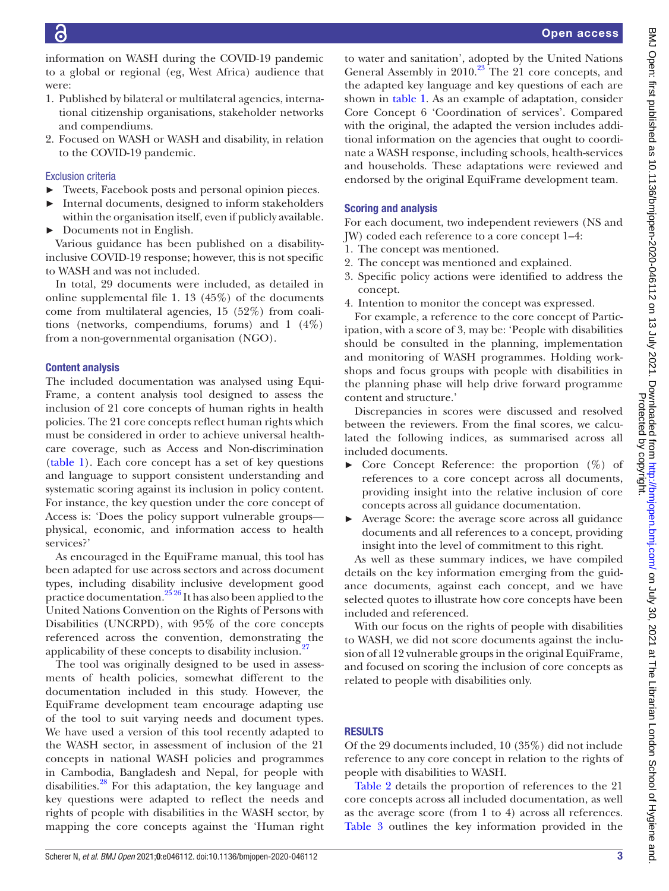information on WASH during the COVID-19 pandemic to a global or regional (eg, West Africa) audience that were:

- 1. Published by bilateral or multilateral agencies, international citizenship organisations, stakeholder networks and compendiums.
- 2. Focused on WASH or WASH and disability, in relation to the COVID-19 pandemic.

# Exclusion criteria

- ► Tweets, Facebook posts and personal opinion pieces.
- Internal documents, designed to inform stakeholders within the organisation itself, even if publicly available.
- ► Documents not in English.

Various guidance has been published on a disabilityinclusive COVID-19 response; however, this is not specific to WASH and was not included.

In total, 29 documents were included, as detailed in [online supplemental file 1.](https://dx.doi.org/10.1136/bmjopen-2020-046112) 13 (45%) of the documents come from multilateral agencies, 15 (52%) from coalitions (networks, compendiums, forums) and 1 (4%) from a non-governmental organisation (NGO).

## Content analysis

The included documentation was analysed using Equi-Frame, a content analysis tool designed to assess the inclusion of 21 core concepts of human rights in health policies. The 21 core concepts reflect human rights which must be considered in order to achieve universal healthcare coverage, such as Access and Non-discrimination ([table](#page-3-0) 1). Each core concept has a set of key questions and language to support consistent understanding and systematic scoring against its inclusion in policy content. For instance, the key question under the core concept of Access is: 'Does the policy support vulnerable groups physical, economic, and information access to health services?'

As encouraged in the EquiFrame manual, this tool has been adapted for use across sectors and across document types, including disability inclusive development good practice documentation. $2^{526}$  It has also been applied to the United Nations Convention on the Rights of Persons with Disabilities (UNCRPD), with 95% of the core concepts referenced across the convention, demonstrating the applicability of these concepts to disability inclusion.<sup>[27](#page-8-18)</sup>

The tool was originally designed to be used in assessments of health policies, somewhat different to the documentation included in this study. However, the EquiFrame development team encourage adapting use of the tool to suit varying needs and document types. We have used a version of this tool recently adapted to the WASH sector, in assessment of inclusion of the 21 concepts in national WASH policies and programmes in Cambodia, Bangladesh and Nepal, for people with disabilities. $^{28}$  For this adaptation, the key language and key questions were adapted to reflect the needs and rights of people with disabilities in the WASH sector, by mapping the core concepts against the 'Human right

to water and sanitation', adopted by the United Nations General Assembly in 2010.<sup>23</sup> The 21 core concepts, and the adapted key language and key questions of each are shown in [table](#page-3-0) 1. As an example of adaptation, consider Core Concept 6 'Coordination of services'. Compared with the original, the adapted the version includes additional information on the agencies that ought to coordinate a WASH response, including schools, health-services and households. These adaptations were reviewed and endorsed by the original EquiFrame development team.

## Scoring and analysis

For each document, two independent reviewers (NS and JW) coded each reference to a core concept 1–4:

- 1. The concept was mentioned.
- 2. The concept was mentioned and explained.
- 3. Specific policy actions were identified to address the concept.
- 4. Intention to monitor the concept was expressed.

For example, a reference to the core concept of Participation, with a score of 3, may be: 'People with disabilities should be consulted in the planning, implementation and monitoring of WASH programmes. Holding workshops and focus groups with people with disabilities in the planning phase will help drive forward programme content and structure.'

Discrepancies in scores were discussed and resolved between the reviewers. From the final scores, we calculated the following indices, as summarised across all included documents.

- ► Core Concept Reference: the proportion (%) of references to a core concept across all documents, providing insight into the relative inclusion of core concepts across all guidance documentation.
- Average Score: the average score across all guidance documents and all references to a concept, providing insight into the level of commitment to this right.

As well as these summary indices, we have compiled details on the key information emerging from the guidance documents, against each concept, and we have selected quotes to illustrate how core concepts have been included and referenced.

With our focus on the rights of people with disabilities to WASH, we did not score documents against the inclusion of all 12 vulnerable groups in the original EquiFrame, and focused on scoring the inclusion of core concepts as related to people with disabilities only.

# **RESULTS**

Of the 29 documents included, 10 (35%) did not include reference to any core concept in relation to the rights of people with disabilities to WASH.

[Table](#page-4-0) 2 details the proportion of references to the 21 core concepts across all included documentation, as well as the average score (from 1 to 4) across all references. [Table](#page-5-0) 3 outlines the key information provided in the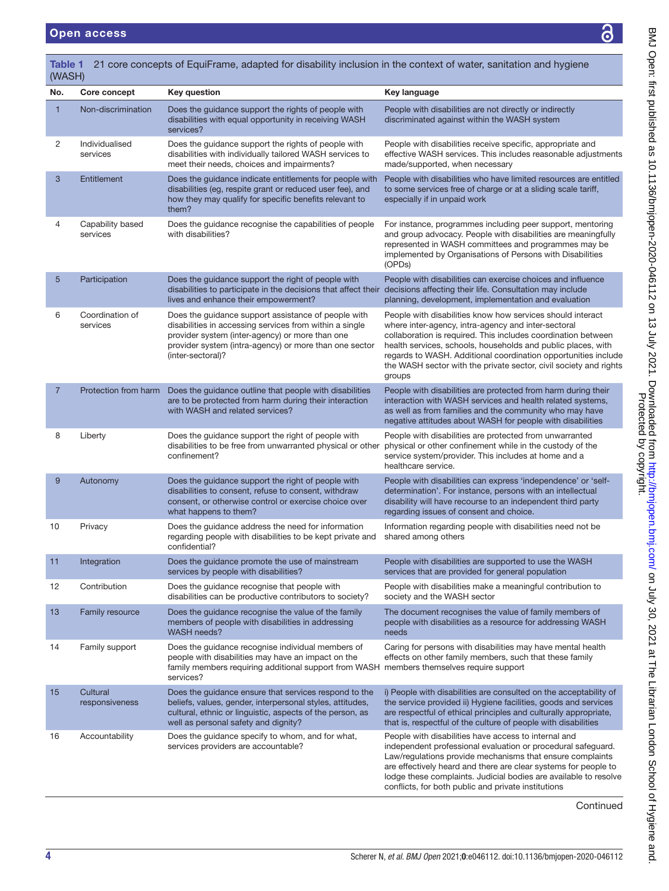T

<span id="page-3-0"></span>

| No.            | Core concept                 | <b>Key question</b>                                                                                                                                                                                                                              | Key language                                                                                                                                                                                                                                                                                                                                                                                        |
|----------------|------------------------------|--------------------------------------------------------------------------------------------------------------------------------------------------------------------------------------------------------------------------------------------------|-----------------------------------------------------------------------------------------------------------------------------------------------------------------------------------------------------------------------------------------------------------------------------------------------------------------------------------------------------------------------------------------------------|
| 1              | Non-discrimination           | Does the guidance support the rights of people with<br>disabilities with equal opportunity in receiving WASH<br>services?                                                                                                                        | People with disabilities are not directly or indirectly<br>discriminated against within the WASH system                                                                                                                                                                                                                                                                                             |
| 2              | Individualised<br>services   | Does the guidance support the rights of people with<br>disabilities with individually tailored WASH services to<br>meet their needs, choices and impairments?                                                                                    | People with disabilities receive specific, appropriate and<br>effective WASH services. This includes reasonable adjustments<br>made/supported, when necessary                                                                                                                                                                                                                                       |
| 3              | Entitlement                  | Does the guidance indicate entitlements for people with<br>disabilities (eg, respite grant or reduced user fee), and<br>how they may qualify for specific benefits relevant to<br>them?                                                          | People with disabilities who have limited resources are entitled<br>to some services free of charge or at a sliding scale tariff,<br>especially if in unpaid work                                                                                                                                                                                                                                   |
| 4              | Capability based<br>services | Does the guidance recognise the capabilities of people<br>with disabilities?                                                                                                                                                                     | For instance, programmes including peer support, mentoring<br>and group advocacy. People with disabilities are meaningfully<br>represented in WASH committees and programmes may be<br>implemented by Organisations of Persons with Disabilities<br>(OPDs)                                                                                                                                          |
| 5              | Participation                | Does the guidance support the right of people with<br>disabilities to participate in the decisions that affect their decisions affecting their life. Consultation may include<br>lives and enhance their empowerment?                            | People with disabilities can exercise choices and influence<br>planning, development, implementation and evaluation                                                                                                                                                                                                                                                                                 |
| 6              | Coordination of<br>services  | Does the guidance support assistance of people with<br>disabilities in accessing services from within a single<br>provider system (inter-agency) or more than one<br>provider system (intra-agency) or more than one sector<br>(inter-sectoral)? | People with disabilities know how services should interact<br>where inter-agency, intra-agency and inter-sectoral<br>collaboration is required. This includes coordination between<br>health services, schools, households and public places, with<br>regards to WASH. Additional coordination opportunities include<br>the WASH sector with the private sector, civil society and rights<br>groups |
| $\overline{7}$ | Protection from harm         | Does the guidance outline that people with disabilities<br>are to be protected from harm during their interaction<br>with WASH and related services?                                                                                             | People with disabilities are protected from harm during their<br>interaction with WASH services and health related systems,<br>as well as from families and the community who may have<br>negative attitudes about WASH for people with disabilities                                                                                                                                                |
| 8              | Liberty                      | Does the guidance support the right of people with<br>disabilities to be free from unwarranted physical or other<br>confinement?                                                                                                                 | People with disabilities are protected from unwarranted<br>physical or other confinement while in the custody of the<br>service system/provider. This includes at home and a<br>healthcare service.                                                                                                                                                                                                 |
| 9              | Autonomy                     | Does the guidance support the right of people with<br>disabilities to consent, refuse to consent, withdraw<br>consent, or otherwise control or exercise choice over<br>what happens to them?                                                     | People with disabilities can express 'independence' or 'self-<br>determination'. For instance, persons with an intellectual<br>disability will have recourse to an independent third party<br>regarding issues of consent and choice.                                                                                                                                                               |
| 10             | Privacy                      | Does the guidance address the need for information<br>regarding people with disabilities to be kept private and shared among others<br>confidential?                                                                                             | Information regarding people with disabilities need not be                                                                                                                                                                                                                                                                                                                                          |
| 11             | Integration                  | Does the guidance promote the use of mainstream<br>services by people with disabilities?                                                                                                                                                         | People with disabilities are supported to use the WASH<br>services that are provided for general population                                                                                                                                                                                                                                                                                         |
| 12             | Contribution                 | Does the guidance recognise that people with<br>disabilities can be productive contributors to society?                                                                                                                                          | People with disabilities make a meaningful contribution to<br>society and the WASH sector                                                                                                                                                                                                                                                                                                           |
| 13             | <b>Family resource</b>       | Does the guidance recognise the value of the family<br>members of people with disabilities in addressing<br><b>WASH needs?</b>                                                                                                                   | The document recognises the value of family members of<br>people with disabilities as a resource for addressing WASH<br>needs                                                                                                                                                                                                                                                                       |
| 14             | Family support               | Does the guidance recognise individual members of<br>people with disabilities may have an impact on the<br>family members requiring additional support from WASH members themselves require support<br>services?                                 | Caring for persons with disabilities may have mental health<br>effects on other family members, such that these family                                                                                                                                                                                                                                                                              |
| 15             | Cultural<br>responsiveness   | Does the guidance ensure that services respond to the<br>beliefs, values, gender, interpersonal styles, attitudes,<br>cultural, ethnic or linguistic, aspects of the person, as<br>well as personal safety and dignity?                          | i) People with disabilities are consulted on the acceptability of<br>the service provided ii) Hygiene facilities, goods and services<br>are respectful of ethical principles and culturally appropriate,<br>that is, respectful of the culture of people with disabilities                                                                                                                          |
| 16             | Accountability               | Does the guidance specify to whom, and for what,<br>services providers are accountable?                                                                                                                                                          | People with disabilities have access to internal and<br>independent professional evaluation or procedural safeguard.<br>Law/regulations provide mechanisms that ensure complaints<br>are effectively heard and there are clear systems for people to<br>lodge these complaints. Judicial bodies are available to resolve<br>conflicts, for both public and private institutions                     |
|                |                              |                                                                                                                                                                                                                                                  | Continued                                                                                                                                                                                                                                                                                                                                                                                           |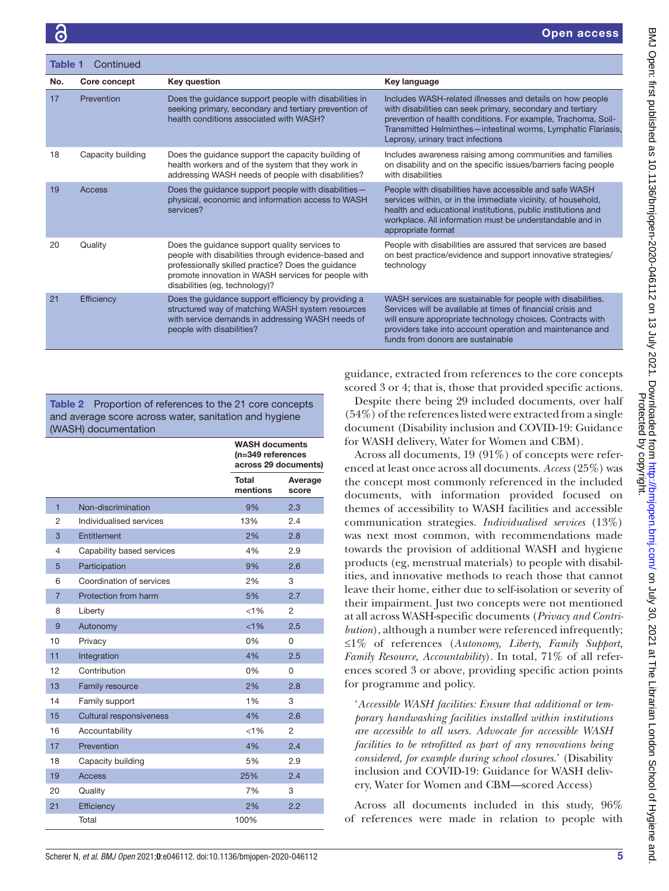| Table 1<br>Continued |                   |                                                                                                                                                                                                                                                     |                                                                                                                                                                                                                                                                                                |  |  |
|----------------------|-------------------|-----------------------------------------------------------------------------------------------------------------------------------------------------------------------------------------------------------------------------------------------------|------------------------------------------------------------------------------------------------------------------------------------------------------------------------------------------------------------------------------------------------------------------------------------------------|--|--|
| No.                  | Core concept      | Key question                                                                                                                                                                                                                                        | Key language                                                                                                                                                                                                                                                                                   |  |  |
| 17                   | Prevention        | Does the guidance support people with disabilities in<br>seeking primary, secondary and tertiary prevention of<br>health conditions associated with WASH?                                                                                           | Includes WASH-related illnesses and details on how people<br>with disabilities can seek primary, secondary and tertiary<br>prevention of health conditions. For example, Trachoma, Soil-<br>Transmitted Helminthes-intestinal worms, Lymphatic Flariasis,<br>Leprosy, urinary tract infections |  |  |
| 18                   | Capacity building | Does the guidance support the capacity building of<br>health workers and of the system that they work in<br>addressing WASH needs of people with disabilities?                                                                                      | Includes awareness raising among communities and families<br>on disability and on the specific issues/barriers facing people<br>with disabilities                                                                                                                                              |  |  |
| 19                   | Access            | Does the guidance support people with disabilities-<br>physical, economic and information access to WASH<br>services?                                                                                                                               | People with disabilities have accessible and safe WASH<br>services within, or in the immediate vicinity, of household,<br>health and educational institutions, public institutions and<br>workplace. All information must be understandable and in<br>appropriate format                       |  |  |
| 20                   | Quality           | Does the guidance support quality services to<br>people with disabilities through evidence-based and<br>professionally skilled practice? Does the guidance<br>promote innovation in WASH services for people with<br>disabilities (eg, technology)? | People with disabilities are assured that services are based<br>on best practice/evidence and support innovative strategies/<br>technology                                                                                                                                                     |  |  |
| 21                   | Efficiency        | Does the guidance support efficiency by providing a<br>structured way of matching WASH system resources<br>with service demands in addressing WASH needs of<br>people with disabilities?                                                            | WASH services are sustainable for people with disabilities.<br>Services will be available at times of financial crisis and<br>will ensure appropriate technology choices. Contracts with<br>providers take into account operation and maintenance and<br>funds from donors are sustainable     |  |  |

<span id="page-4-0"></span>Table 2 Proportion of references to the 21 core concepts and average score across water, sanitation and hygiene (WASH) documentation

|                |                           | <b>WASH documents</b><br>(n=349 references<br>across 29 documents) |                  |  |
|----------------|---------------------------|--------------------------------------------------------------------|------------------|--|
|                |                           | <b>Total</b><br>mentions                                           | Average<br>score |  |
| 1              | Non-discrimination        | 9%                                                                 | 2.3              |  |
| 2              | Individualised services   | 13%                                                                | 2.4              |  |
| 3              | Entitlement               | 2%                                                                 | 2.8              |  |
| 4              | Capability based services | 4%                                                                 | 2.9              |  |
| 5              | Participation             | 9%                                                                 | 2.6              |  |
| 6              | Coordination of services  | 2%                                                                 | 3                |  |
| $\overline{7}$ | Protection from harm      | 5%                                                                 | 2.7              |  |
| 8              | Liberty                   | $< 1\%$                                                            | $\overline{2}$   |  |
| 9              | Autonomy                  | $< 1\%$                                                            | 2.5              |  |
| 10             | Privacy                   | 0%                                                                 | 0                |  |
| 11             | Integration               | 4%                                                                 | 2.5              |  |
| 12             | Contribution              | 0%                                                                 | $\Omega$         |  |
| 13             | Family resource           | 2%                                                                 | 2.8              |  |
| 14             | Family support            | 1%                                                                 | 3                |  |
| 15             | Cultural responsiveness   | 4%                                                                 | 2.6              |  |
| 16             | Accountability            | $< 1\%$                                                            | 2                |  |
| 17             | Prevention                | 4%                                                                 | 2.4              |  |
| 18             | Capacity building         | 5%                                                                 | 2.9              |  |
| 19             | <b>Access</b>             | 25%                                                                | 2.4              |  |
| 20             | Quality                   | 7%                                                                 | 3                |  |
| 21             | Efficiency                | 2%                                                                 | 2.2              |  |
|                | Total                     | 100%                                                               |                  |  |

guidance, extracted from references to the core concepts scored 3 or 4; that is, those that provided specific actions.

Despite there being 29 included documents, over half (54%) of the references listed were extracted from a single document (Disability inclusion and COVID-19: Guidance for WASH delivery, Water for Women and CBM).

Across all documents, 19 (91%) of concepts were referenced at least once across all documents. *Access* (25%) was the concept most commonly referenced in the included documents, with information provided focused on themes of accessibility to WASH facilities and accessible communication strategies. *Individualised services* (13%) was next most common, with recommendations made towards the provision of additional WASH and hygiene products (eg, menstrual materials) to people with disabilities, and innovative methods to reach those that cannot leave their home, either due to self-isolation or severity of their impairment. Just two concepts were not mentioned at all across WASH-specific documents (*Privacy and Contribution*), although a number were referenced infrequently; ≤1% of references (*Autonomy, Liberty, Family Support, Family Resource, Accountability*). In total, 71% of all references scored 3 or above, providing specific action points for programme and policy.

'*Accessible WASH facilities: Ensure that additional or temporary handwashing facilities installed within institutions are accessible to all users. Advocate for accessible WASH facilities to be retrofitted as part of any renovations being considered, for example during school closures*.' (Disability inclusion and COVID-19: Guidance for WASH delivery, Water for Women and CBM—scored Access)

Across all documents included in this study, 96% of references were made in relation to people with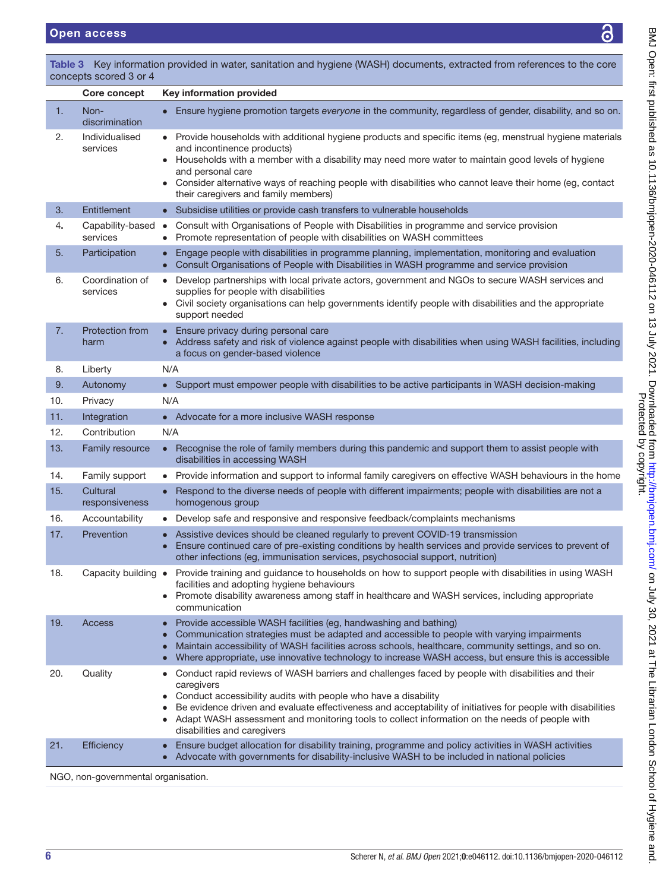Protected by copyright. BMJ Open: first published as 10.1136/bmjopen-2020-046112 on 13 July 2021. Downloaded from <http://bmjopen.bmj.com/> on July 30, 2021 at The Librarian London School of Hygiene and

BMJ Open: first published as 10.1136/bmjopen-2020-046112 on 13 July 2021. Downloaded from http://bmjopen.bmj.com/ on July 30, 2021 at The Librarian London School of Hygiene and.<br>Protected by copyright on the Protected by c

|     | concepts scored 3 or 4       |                                                                                                                                                                                                                                                                                                                                                                                                                                               |  |  |  |
|-----|------------------------------|-----------------------------------------------------------------------------------------------------------------------------------------------------------------------------------------------------------------------------------------------------------------------------------------------------------------------------------------------------------------------------------------------------------------------------------------------|--|--|--|
|     | Core concept                 | Key information provided                                                                                                                                                                                                                                                                                                                                                                                                                      |  |  |  |
| 1.  | Non-<br>discrimination       | Ensure hygiene promotion targets everyone in the community, regardless of gender, disability, and so on.                                                                                                                                                                                                                                                                                                                                      |  |  |  |
| 2.  | Individualised<br>services   | Provide households with additional hygiene products and specific items (eg, menstrual hygiene materials<br>and incontinence products)<br>Households with a member with a disability may need more water to maintain good levels of hygiene<br>and personal care<br>• Consider alternative ways of reaching people with disabilities who cannot leave their home (eg, contact<br>their caregivers and family members)                          |  |  |  |
| 3.  | Entitlement                  | • Subsidise utilities or provide cash transfers to vulnerable households                                                                                                                                                                                                                                                                                                                                                                      |  |  |  |
| 4.  | Capability-based<br>services | Consult with Organisations of People with Disabilities in programme and service provision<br>$\bullet$<br>Promote representation of people with disabilities on WASH committees                                                                                                                                                                                                                                                               |  |  |  |
| 5.  | Participation                | Engage people with disabilities in programme planning, implementation, monitoring and evaluation<br>$\bullet$<br>Consult Organisations of People with Disabilities in WASH programme and service provision<br>$\bullet$                                                                                                                                                                                                                       |  |  |  |
| 6.  | Coordination of<br>services  | Develop partnerships with local private actors, government and NGOs to secure WASH services and<br>$\bullet$<br>supplies for people with disabilities<br>• Civil society organisations can help governments identify people with disabilities and the appropriate<br>support needed                                                                                                                                                           |  |  |  |
| 7.  | Protection from<br>harm      | Ensure privacy during personal care<br>• Address safety and risk of violence against people with disabilities when using WASH facilities, including<br>a focus on gender-based violence                                                                                                                                                                                                                                                       |  |  |  |
| 8.  | Liberty                      | N/A                                                                                                                                                                                                                                                                                                                                                                                                                                           |  |  |  |
| 9.  | Autonomy                     | • Support must empower people with disabilities to be active participants in WASH decision-making                                                                                                                                                                                                                                                                                                                                             |  |  |  |
| 10. | Privacy                      | N/A                                                                                                                                                                                                                                                                                                                                                                                                                                           |  |  |  |
| 11. | Integration                  | • Advocate for a more inclusive WASH response                                                                                                                                                                                                                                                                                                                                                                                                 |  |  |  |
| 12. | Contribution                 | N/A                                                                                                                                                                                                                                                                                                                                                                                                                                           |  |  |  |
| 13. | Family resource              | Recognise the role of family members during this pandemic and support them to assist people with<br>$\bullet$<br>disabilities in accessing WASH                                                                                                                                                                                                                                                                                               |  |  |  |
| 14. | Family support               | Provide information and support to informal family caregivers on effective WASH behaviours in the home                                                                                                                                                                                                                                                                                                                                        |  |  |  |
| 15. | Cultural<br>responsiveness   | Respond to the diverse needs of people with different impairments; people with disabilities are not a<br>homogenous group                                                                                                                                                                                                                                                                                                                     |  |  |  |
| 16. | Accountability               | Develop safe and responsive and responsive feedback/complaints mechanisms                                                                                                                                                                                                                                                                                                                                                                     |  |  |  |
| 17. | Prevention                   | Assistive devices should be cleaned regularly to prevent COVID-19 transmission<br>Ensure continued care of pre-existing conditions by health services and provide services to prevent of<br>$\bullet$<br>other infections (eg, immunisation services, psychosocial support, nutrition)                                                                                                                                                        |  |  |  |
| 18. | Capacity building $\bullet$  | Provide training and guidance to households on how to support people with disabilities in using WASH<br>facilities and adopting hygiene behaviours<br>• Promote disability awareness among staff in healthcare and WASH services, including appropriate<br>communication                                                                                                                                                                      |  |  |  |
| 19. | Access                       | Provide accessible WASH facilities (eg, handwashing and bathing)<br>$\bullet$<br>Communication strategies must be adapted and accessible to people with varying impairments<br>$\bullet$<br>Maintain accessibility of WASH facilities across schools, healthcare, community settings, and so on.<br>Where appropriate, use innovative technology to increase WASH access, but ensure this is accessible                                       |  |  |  |
| 20. | Quality                      | Conduct rapid reviews of WASH barriers and challenges faced by people with disabilities and their<br>$\bullet$<br>caregivers<br>Conduct accessibility audits with people who have a disability<br>Be evidence driven and evaluate effectiveness and acceptability of initiatives for people with disabilities<br>Adapt WASH assessment and monitoring tools to collect information on the needs of people with<br>disabilities and caregivers |  |  |  |
| 21. | Efficiency                   | Ensure budget allocation for disability training, programme and policy activities in WASH activities<br>$\bullet$<br>Advocate with governments for disability-inclusive WASH to be included in national policies                                                                                                                                                                                                                              |  |  |  |

<span id="page-5-0"></span>Table 3 Key information provided in water, sanitation and hygiene (WASH) documents, extracted from references to the core

NGO, non-governmental organisation.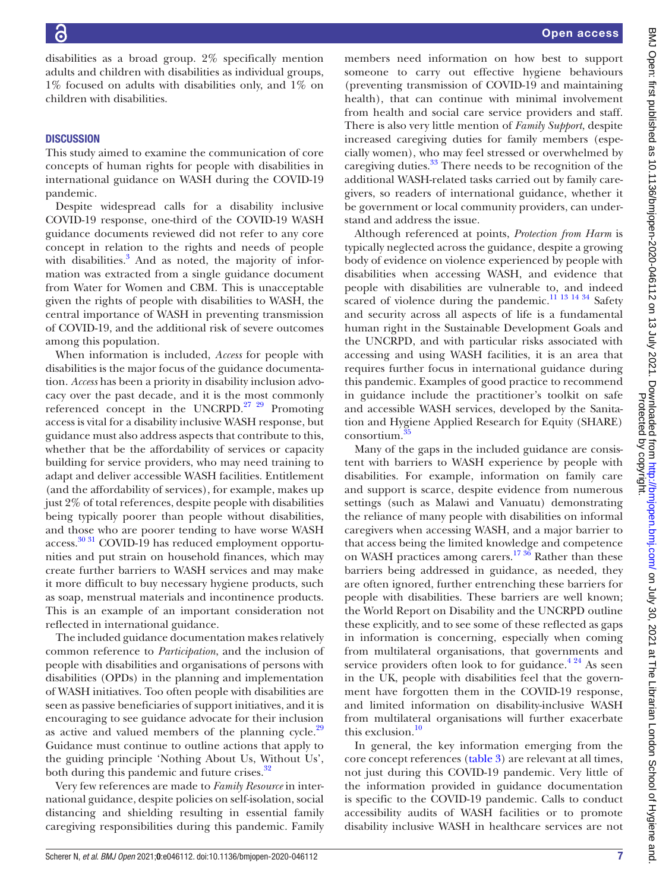disabilities as a broad group. 2% specifically mention adults and children with disabilities as individual groups, 1% focused on adults with disabilities only, and 1% on children with disabilities.

## **DISCUSSION**

This study aimed to examine the communication of core concepts of human rights for people with disabilities in international guidance on WASH during the COVID-19 pandemic.

Despite widespread calls for a disability inclusive COVID-19 response, one-third of the COVID-19 WASH guidance documents reviewed did not refer to any core concept in relation to the rights and needs of people with disabilities.<sup>[3](#page-8-2)</sup> And as noted, the majority of information was extracted from a single guidance document from Water for Women and CBM. This is unacceptable given the rights of people with disabilities to WASH, the central importance of WASH in preventing transmission of COVID-19, and the additional risk of severe outcomes among this population.

When information is included, *Access* for people with disabilities is the major focus of the guidance documentation. *Access* has been a priority in disability inclusion advocacy over the past decade, and it is the most commonly referenced concept in the UNCRPD.<sup>27</sup> <sup>29</sup> Promoting access is vital for a disability inclusive WASH response, but guidance must also address aspects that contribute to this, whether that be the affordability of services or capacity building for service providers, who may need training to adapt and deliver accessible WASH facilities. Entitlement (and the affordability of services), for example, makes up just 2% of total references, despite people with disabilities being typically poorer than people without disabilities, and those who are poorer tending to have worse WASH access.<sup>[30 31](#page-9-0)</sup> COVID-19 has reduced employment opportunities and put strain on household finances, which may create further barriers to WASH services and may make it more difficult to buy necessary hygiene products, such as soap, menstrual materials and incontinence products. This is an example of an important consideration not reflected in international guidance.

The included guidance documentation makes relatively common reference to *Participation*, and the inclusion of people with disabilities and organisations of persons with disabilities (OPDs) in the planning and implementation of WASH initiatives. Too often people with disabilities are seen as passive beneficiaries of support initiatives, and it is encouraging to see guidance advocate for their inclusion as active and valued members of the planning cycle. $29$ Guidance must continue to outline actions that apply to the guiding principle 'Nothing About Us, Without Us', both during this pandemic and future crises.<sup>[32](#page-9-1)</sup>

Very few references are made to *Family Resource* in international guidance, despite policies on self-isolation, social distancing and shielding resulting in essential family caregiving responsibilities during this pandemic. Family

members need information on how best to support someone to carry out effective hygiene behaviours (preventing transmission of COVID-19 and maintaining health), that can continue with minimal involvement from health and social care service providers and staff. There is also very little mention of *Family Support*, despite increased caregiving duties for family members (especially women), who may feel stressed or overwhelmed by caregiving duties.<sup>33</sup> There needs to be recognition of the additional WASH-related tasks carried out by family caregivers, so readers of international guidance, whether it be government or local community providers, can understand and address the issue.

Although referenced at points, *Protection from Harm* is typically neglected across the guidance, despite a growing body of evidence on violence experienced by people with disabilities when accessing WASH, and evidence that people with disabilities are vulnerable to, and indeed scared of violence during the pandemic.<sup>[11 13 14 34](#page-8-8)</sup> Safety and security across all aspects of life is a fundamental human right in the Sustainable Development Goals and the UNCRPD, and with particular risks associated with accessing and using WASH facilities, it is an area that requires further focus in international guidance during this pandemic. Examples of good practice to recommend in guidance include the practitioner's toolkit on safe and accessible WASH services, developed by the Sanitation and Hygiene Applied Research for Equity (SHARE) consortium.

Many of the gaps in the included guidance are consistent with barriers to WASH experience by people with disabilities. For example, information on family care and support is scarce, despite evidence from numerous settings (such as Malawi and Vanuatu) demonstrating the reliance of many people with disabilities on informal caregivers when accessing WASH, and a major barrier to that access being the limited knowledge and competence on WASH practices among carers.<sup>17 36</sup> Rather than these barriers being addressed in guidance, as needed, they are often ignored, further entrenching these barriers for people with disabilities. These barriers are well known; the World Report on Disability and the UNCRPD outline these explicitly, and to see some of these reflected as gaps in information is concerning, especially when coming from multilateral organisations, that governments and service providers often look to for guidance. $4^{24}$  As seen in the UK, people with disabilities feel that the government have forgotten them in the COVID-19 response, and limited information on disability-inclusive WASH from multilateral organisations will further exacerbate this exclusion.<sup>10</sup>

In general, the key information emerging from the core concept references [\(table](#page-5-0) 3) are relevant at all times, not just during this COVID-19 pandemic. Very little of the information provided in guidance documentation is specific to the COVID-19 pandemic. Calls to conduct accessibility audits of WASH facilities or to promote disability inclusive WASH in healthcare services are not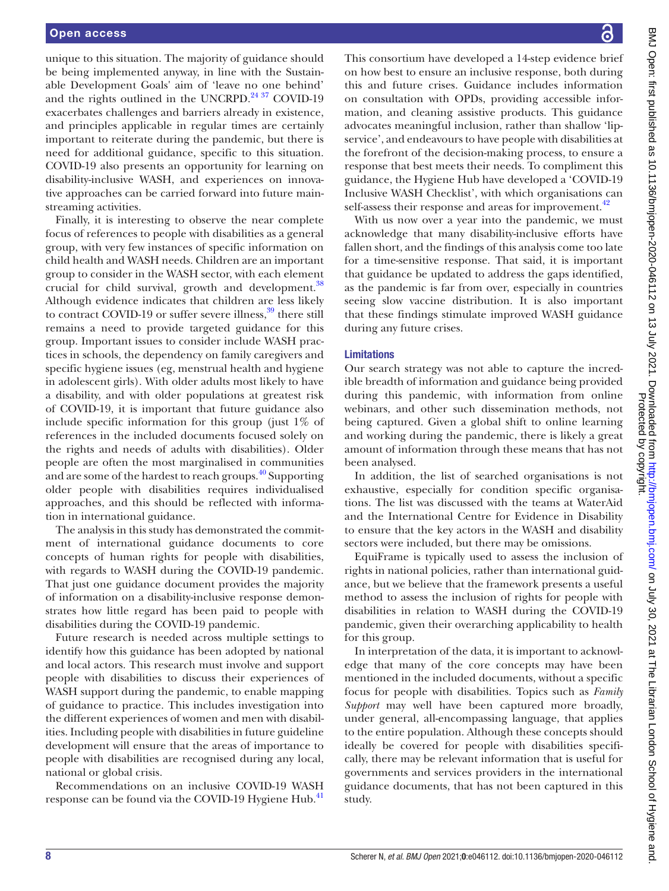unique to this situation. The majority of guidance should be being implemented anyway, in line with the Sustainable Development Goals' aim of 'leave no one behind' and the rights outlined in the UNCRPD.<sup>24 37</sup> COVID-19 exacerbates challenges and barriers already in existence, and principles applicable in regular times are certainly important to reiterate during the pandemic, but there is need for additional guidance, specific to this situation. COVID-19 also presents an opportunity for learning on disability-inclusive WASH, and experiences on innovative approaches can be carried forward into future mainstreaming activities.

Finally, it is interesting to observe the near complete focus of references to people with disabilities as a general group, with very few instances of specific information on child health and WASH needs. Children are an important group to consider in the WASH sector, with each element crucial for child survival, growth and development.<sup>38</sup> Although evidence indicates that children are less likely to contract COVID-19 or suffer severe illness, $39$  there still remains a need to provide targeted guidance for this group. Important issues to consider include WASH practices in schools, the dependency on family caregivers and specific hygiene issues (eg, menstrual health and hygiene in adolescent girls). With older adults most likely to have a disability, and with older populations at greatest risk of COVID-19, it is important that future guidance also include specific information for this group (just 1% of references in the included documents focused solely on the rights and needs of adults with disabilities). Older people are often the most marginalised in communities and are some of the hardest to reach groups.<sup>[40](#page-9-6)</sup> Supporting older people with disabilities requires individualised approaches, and this should be reflected with information in international guidance.

The analysis in this study has demonstrated the commitment of international guidance documents to core concepts of human rights for people with disabilities, with regards to WASH during the COVID-19 pandemic. That just one guidance document provides the majority of information on a disability-inclusive response demonstrates how little regard has been paid to people with disabilities during the COVID-19 pandemic.

Future research is needed across multiple settings to identify how this guidance has been adopted by national and local actors. This research must involve and support people with disabilities to discuss their experiences of WASH support during the pandemic, to enable mapping of guidance to practice. This includes investigation into the different experiences of women and men with disabilities. Including people with disabilities in future guideline development will ensure that the areas of importance to people with disabilities are recognised during any local, national or global crisis.

Recommendations on an inclusive COVID-19 WASH response can be found via the COVID-19 Hygiene Hub.<sup>[41](#page-9-7)</sup> BMJ Open: first published as 10.1136/bmjopen-2020-046112 on 13 July 2021. Downloaded from http://bmjopen.bmj.com/ on July 30, 2021 at The Librarian London School of Hygiene and<br>Protected by controllar protected by copyrigh BMJ Open: first published as 10.1136/bmjopen-2020-046112 on 13 July 2021. Downloaded from <http://bmjopen.bmj.com/> on July 30, 2021 at The Librarian London School of Hygiene and Protected by copyright.

This consortium have developed a 14-step evidence brief on how best to ensure an inclusive response, both during this and future crises. Guidance includes information on consultation with OPDs, providing accessible information, and cleaning assistive products. This guidance advocates meaningful inclusion, rather than shallow 'lipservice', and endeavours to have people with disabilities at the forefront of the decision-making process, to ensure a response that best meets their needs. To compliment this guidance, the Hygiene Hub have developed a 'COVID-19 Inclusive WASH Checklist', with which organisations can self-assess their response and areas for improvement.<sup>42</sup>

With us now over a year into the pandemic, we must acknowledge that many disability-inclusive efforts have fallen short, and the findings of this analysis come too late for a time-sensitive response. That said, it is important that guidance be updated to address the gaps identified, as the pandemic is far from over, especially in countries seeing slow vaccine distribution. It is also important that these findings stimulate improved WASH guidance during any future crises.

## **Limitations**

Our search strategy was not able to capture the incredible breadth of information and guidance being provided during this pandemic, with information from online webinars, and other such dissemination methods, not being captured. Given a global shift to online learning and working during the pandemic, there is likely a great amount of information through these means that has not been analysed.

In addition, the list of searched organisations is not exhaustive, especially for condition specific organisations. The list was discussed with the teams at WaterAid and the International Centre for Evidence in Disability to ensure that the key actors in the WASH and disability sectors were included, but there may be omissions.

EquiFrame is typically used to assess the inclusion of rights in national policies, rather than international guidance, but we believe that the framework presents a useful method to assess the inclusion of rights for people with disabilities in relation to WASH during the COVID-19 pandemic, given their overarching applicability to health for this group.

In interpretation of the data, it is important to acknowledge that many of the core concepts may have been mentioned in the included documents, without a specific focus for people with disabilities. Topics such as *Family Support* may well have been captured more broadly, under general, all-encompassing language, that applies to the entire population. Although these concepts should ideally be covered for people with disabilities specifically, there may be relevant information that is useful for governments and services providers in the international guidance documents, that has not been captured in this study.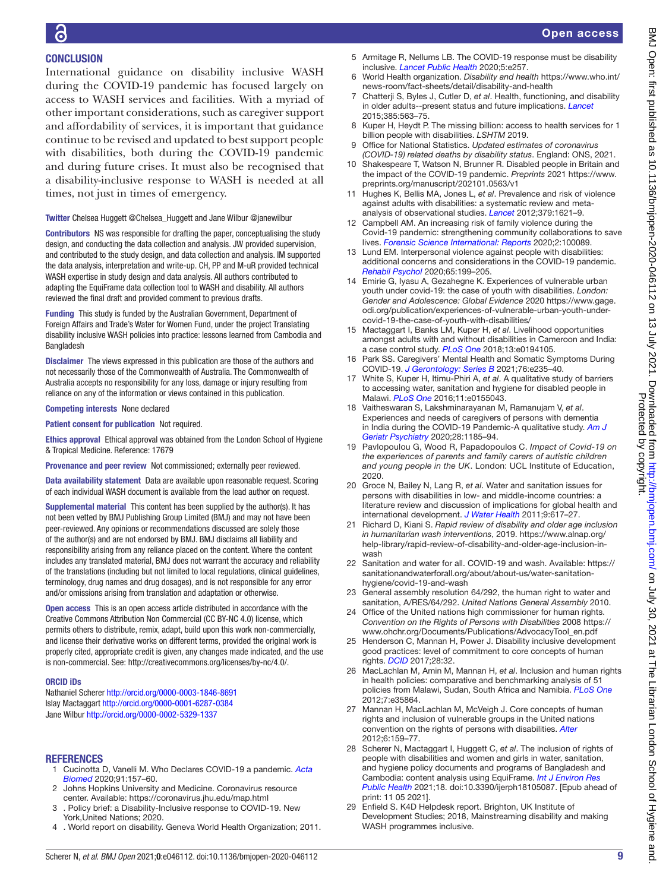# **CONCLUSION**

International guidance on disability inclusive WASH during the COVID-19 pandemic has focused largely on access to WASH services and facilities. With a myriad of other important considerations, such as caregiver support and affordability of services, it is important that guidance continue to be revised and updated to best support people with disabilities, both during the COVID-19 pandemic and during future crises. It must also be recognised that a disability-inclusive response to WASH is needed at all times, not just in times of emergency.

#### Twitter Chelsea Huggett [@Chelsea\\_Huggett](https://twitter.com/Chelsea_Huggett) and Jane Wilbur [@janewilbur](https://twitter.com/janewilbur)

Contributors NS was responsible for drafting the paper, conceptualising the study design, and conducting the data collection and analysis. JW provided supervision, and contributed to the study design, and data collection and analysis. IM supported the data analysis, interpretation and write-up. CH, PP and M-uR provided technical WASH expertise in study design and data analysis. All authors contributed to adapting the EquiFrame data collection tool to WASH and disability. All authors reviewed the final draft and provided comment to previous drafts.

Funding This study is funded by the Australian Government, Department of Foreign Affairs and Trade's Water for Women Fund, under the project Translating disability inclusive WASH policies into practice: lessons learned from Cambodia and Bangladesh

Disclaimer The views expressed in this publication are those of the authors and not necessarily those of the Commonwealth of Australia. The Commonwealth of Australia accepts no responsibility for any loss, damage or injury resulting from reliance on any of the information or views contained in this publication.

## Competing interests None declared

Patient consent for publication Not required.

Ethics approval Ethical approval was obtained from the London School of Hygiene & Tropical Medicine. Reference: 17679

Provenance and peer review Not commissioned; externally peer reviewed.

Data availability statement Data are available upon reasonable request. Scoring of each individual WASH document is available from the lead author on request.

Supplemental material This content has been supplied by the author(s). It has not been vetted by BMJ Publishing Group Limited (BMJ) and may not have been peer-reviewed. Any opinions or recommendations discussed are solely those of the author(s) and are not endorsed by BMJ. BMJ disclaims all liability and responsibility arising from any reliance placed on the content. Where the content includes any translated material, BMJ does not warrant the accuracy and reliability of the translations (including but not limited to local regulations, clinical guidelines, terminology, drug names and drug dosages), and is not responsible for any error and/or omissions arising from translation and adaptation or otherwise.

Open access This is an open access article distributed in accordance with the Creative Commons Attribution Non Commercial (CC BY-NC 4.0) license, which permits others to distribute, remix, adapt, build upon this work non-commercially, and license their derivative works on different terms, provided the original work is properly cited, appropriate credit is given, any changes made indicated, and the use is non-commercial. See: [http://creativecommons.org/licenses/by-nc/4.0/.](http://creativecommons.org/licenses/by-nc/4.0/)

#### ORCID iDs

Nathaniel Scherer<http://orcid.org/0000-0003-1846-8691> Islay Mactaggart<http://orcid.org/0000-0001-6287-0384> Jane Wilbur<http://orcid.org/0000-0002-5329-1337>

## **REFERENCES**

- <span id="page-8-0"></span>1 Cucinotta D, Vanelli M. Who Declares COVID-19 a pandemic. *[Acta](http://dx.doi.org/10.23750/abm.v91i1.9397)  [Biomed](http://dx.doi.org/10.23750/abm.v91i1.9397)* 2020;91:157–60.
- <span id="page-8-1"></span>2 Johns Hopkins University and Medicine. Coronavirus resource center. Available:<https://coronavirus.jhu.edu/map.html>
- <span id="page-8-2"></span>3 . Policy brief: a Disability-Inclusive response to COVID-19. New York,United Nations; 2020.
- <span id="page-8-3"></span>4 . World report on disability. Geneva World Health Organization; 2011.
- <span id="page-8-11"></span>5 Armitage R, Nellums LB. The COVID-19 response must be disability inclusive. *[Lancet Public Health](http://dx.doi.org/10.1016/S2468-2667(20)30076-1)* 2020;5:e257.
- 6 World Health organization. *Disability and health* [https://www.who.int/](https://www.who.int/news-room/fact-sheets/detail/disability-and-health) [news-room/fact-sheets/detail/disability-and-health](https://www.who.int/news-room/fact-sheets/detail/disability-and-health)
- <span id="page-8-4"></span>7 Chatterji S, Byles J, Cutler D, *et al*. Health, functioning, and disability in older adults--present status and future implications. *[Lancet](http://dx.doi.org/10.1016/S0140-6736(14)61462-8)* 2015;385:563–75.
- <span id="page-8-5"></span>8 Kuper H, Heydt P. The missing billion: access to health services for 1 billion people with disabilities. *LSHTM* 2019.
- <span id="page-8-6"></span>9 Office for National Statistics. *Updated estimates of coronavirus (COVID-19) related deaths by disability status*. England: ONS, 2021.
- <span id="page-8-7"></span>10 Shakespeare T, Watson N, Brunner R. Disabled people in Britain and the impact of the COVID-19 pandemic. *Preprints* 2021 [https://www.](https://www.preprints.org/manuscript/202101.0563/v1) [preprints.org/manuscript/202101.0563/v1](https://www.preprints.org/manuscript/202101.0563/v1)
- <span id="page-8-8"></span>11 Hughes K, Bellis MA, Jones L, *et al*. Prevalence and risk of violence against adults with disabilities: a systematic review and metaanalysis of observational studies. *[Lancet](http://dx.doi.org/10.1016/S0140-6736(11)61851-5)* 2012;379:1621–9.
- 12 Campbell AM. An increasing risk of family violence during the Covid-19 pandemic: strengthening community collaborations to save lives. *[Forensic Science International: Reports](http://dx.doi.org/10.1016/j.fsir.2020.100089)* 2020;2:100089.
- 13 Lund EM. Interpersonal violence against people with disabilities: additional concerns and considerations in the COVID-19 pandemic. *[Rehabil Psychol](http://dx.doi.org/10.1037/rep0000347)* 2020;65:199–205.
- <span id="page-8-9"></span>14 Emirie G, Iyasu A, Gezahegne K. Experiences of vulnerable urban youth under covid-19: the case of youth with disabilities. *London: Gender and Adolescence: Global Evidence* 2020 [https://www.gage.](https://www.gage.odi.org/publication/experiences-of-vulnerable-urban-youth-under-covid-19-the-case-of-youth-with-disabilities/) [odi.org/publication/experiences-of-vulnerable-urban-youth-under](https://www.gage.odi.org/publication/experiences-of-vulnerable-urban-youth-under-covid-19-the-case-of-youth-with-disabilities/)[covid-19-the-case-of-youth-with-disabilities/](https://www.gage.odi.org/publication/experiences-of-vulnerable-urban-youth-under-covid-19-the-case-of-youth-with-disabilities/)
- 15 Mactaggart I, Banks LM, Kuper H, *et al*. Livelihood opportunities amongst adults with and without disabilities in Cameroon and India: a case control study. *[PLoS One](http://dx.doi.org/10.1371/journal.pone.0194105)* 2018;13:e0194105.
- <span id="page-8-10"></span>16 Park SS. Caregivers' Mental Health and Somatic Symptoms During COVID-19. *[J Gerontology: Series B](http://dx.doi.org/10.1093/geronb/gbaa121)* 2021;76:e235–40.
- <span id="page-8-12"></span>17 White S, Kuper H, Itimu-Phiri A, *et al*. A qualitative study of barriers to accessing water, sanitation and hygiene for disabled people in Malawi. *[PLoS One](http://dx.doi.org/10.1371/journal.pone.0155043)* 2016;11:e0155043.
- <span id="page-8-13"></span>18 Vaitheswaran S, Lakshminarayanan M, Ramanujam V, *et al*. Experiences and needs of caregivers of persons with dementia in India during the COVID-19 Pandemic-A qualitative study. *[Am J](http://dx.doi.org/10.1016/j.jagp.2020.06.026)  [Geriatr Psychiatry](http://dx.doi.org/10.1016/j.jagp.2020.06.026)* 2020;28:1185–94.
- 19 Pavlopoulou G, Wood R, Papadopoulos C. *Impact of Covid-19 on the experiences of parents and family carers of autistic children and young people in the UK*. London: UCL Institute of Education, 2020.
- 20 Groce N, Bailey N, Lang R, *et al*. Water and sanitation issues for persons with disabilities in low- and middle-income countries: a literature review and discussion of implications for global health and international development. *[J Water Health](http://dx.doi.org/10.2166/wh.2011.198)* 2011;9:617–27.
- <span id="page-8-14"></span>21 Richard D, Kiani S. *Rapid review of disability and older age inclusion in humanitarian wash interventions*, 2019. [https://www.alnap.org/](https://www.alnap.org/help-library/rapid-review-of-disability-and-older-age-inclusion-in-wash) [help-library/rapid-review-of-disability-and-older-age-inclusion-in](https://www.alnap.org/help-library/rapid-review-of-disability-and-older-age-inclusion-in-wash)[wash](https://www.alnap.org/help-library/rapid-review-of-disability-and-older-age-inclusion-in-wash)
- <span id="page-8-15"></span>22 Sanitation and water for all. COVID-19 and wash. Available: [https://](https://sanitationandwaterforall.org/about/about-us/water-sanitation-hygiene/covid-19-and-wash) [sanitationandwaterforall.org/about/about-us/water-sanitation](https://sanitationandwaterforall.org/about/about-us/water-sanitation-hygiene/covid-19-and-wash)[hygiene/covid-19-and-wash](https://sanitationandwaterforall.org/about/about-us/water-sanitation-hygiene/covid-19-and-wash)
- <span id="page-8-16"></span>23 General assembly resolution 64/292, the human right to water and sanitation, A/RES/64/292. *United Nations General Assembly* 2010.
- <span id="page-8-21"></span>24 Office of the United nations high commissioner for human rights. *Convention on the Rights of Persons with Disabilities* 2008 [https://](https://www.ohchr.org/Documents/Publications/AdvocacyTool_en.pdf) [www.ohchr.org/Documents/Publications/AdvocacyTool\\_en.pdf](https://www.ohchr.org/Documents/Publications/AdvocacyTool_en.pdf)
- <span id="page-8-17"></span>25 Henderson C, Mannan H, Power J. Disability inclusive development good practices: level of commitment to core concepts of human rights. *[DCID](http://dx.doi.org/10.5463/dcid.v28i3.608)* 2017;28:32.
- 26 MacLachlan M, Amin M, Mannan H, *et al*. Inclusion and human rights in health policies: comparative and benchmarking analysis of 51 policies from Malawi, Sudan, South Africa and Namibia. *[PLoS One](http://dx.doi.org/10.1371/journal.pone.0035864)* 2012;7:e35864.
- <span id="page-8-18"></span>27 Mannan H, MacLachlan M, McVeigh J. Core concepts of human rights and inclusion of vulnerable groups in the United nations convention on the rights of persons with disabilities. *[Alter](http://dx.doi.org/10.1016/j.alter.2012.05.005)* 2012;6:159–77.
- <span id="page-8-19"></span>28 Scherer N, Mactaggart I, Huggett C, *et al*. The inclusion of rights of people with disabilities and women and girls in water, sanitation, and hygiene policy documents and programs of Bangladesh and Cambodia: content analysis using EquiFrame. *[Int J Environ Res](http://dx.doi.org/10.3390/ijerph18105087)  [Public Health](http://dx.doi.org/10.3390/ijerph18105087)* 2021;18. doi:10.3390/ijerph18105087. [Epub ahead of print: 11 05 2021].
- <span id="page-8-20"></span>29 Enfield S. K4D Helpdesk report. Brighton, UK Institute of Development Studies; 2018, Mainstreaming disability and making WASH programmes inclusive.